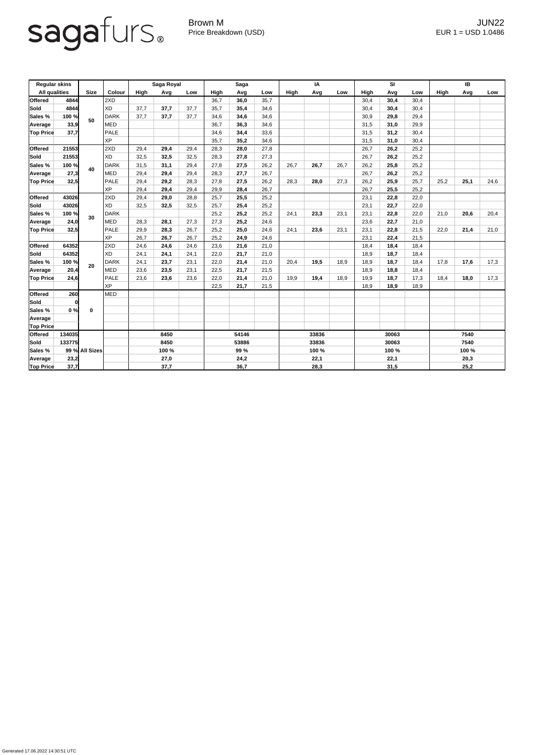## sagafurs.

Generated 17.06.2022 14:30:51 UTC

Brown M JUN22 Price Breakdown (USD) error and the USD 1.0486

| <b>Regular skins</b> |        |                |             | Saga Royal |      | <b>Saga</b> |             |      | IA   |             |      | <b>SI</b> |             |      | IB   |             |      |      |
|----------------------|--------|----------------|-------------|------------|------|-------------|-------------|------|------|-------------|------|-----------|-------------|------|------|-------------|------|------|
| <b>All qualities</b> |        | <b>Size</b>    | Colour      | High       | Avg  | Low         | <b>High</b> | Avg  | Low  | <b>High</b> | Avg  | Low       | <b>High</b> | Avg  | Low  | <b>High</b> | Avg  | Low  |
| <b>Offered</b>       | 4844   |                | 2XD         |            |      |             | 36,7        | 36,0 | 35,7 |             |      |           | 30,4        | 30,4 | 30,4 |             |      |      |
| Sold                 | 4844   | 50             | <b>XD</b>   | 37,7       | 37,7 | 37,7        | 35,7        | 35,4 | 34,6 |             |      |           | 30,4        | 30,4 | 30,4 |             |      |      |
| Sales %              | 100 %  |                | DARK        | 37,7       | 37,7 | 37,7        | 34,6        | 34,6 | 34,6 |             |      |           | 30,9        | 29,8 | 29,4 |             |      |      |
| Average              | 33,9   |                | <b>MED</b>  |            |      |             | 36,7        | 36,3 | 34,6 |             |      |           | 31,5        | 31,0 | 29,9 |             |      |      |
| <b>Top Price</b>     | 37,7   |                | <b>PALE</b> |            |      |             | 34,6        | 34,4 | 33,6 |             |      |           | 31,5        | 31,2 | 30,4 |             |      |      |
|                      |        |                | <b>XP</b>   |            |      |             | 35,7        | 35,2 | 34,6 |             |      |           | 31,5        | 31,0 | 30,4 |             |      |      |
| <b>Offered</b>       | 21553  |                | 2XD         | 29,4       | 29,4 | 29,4        | 28,3        | 28,0 | 27,8 |             |      |           | 26,7        | 26,2 | 25,2 |             |      |      |
| Sold                 | 21553  | 40             | <b>XD</b>   | 32,5       | 32,5 | 32,5        | 28,3        | 27,8 | 27,3 |             |      |           | 26,7        | 26,2 | 25,2 |             |      |      |
| Sales %              | 100 %  |                | <b>DARK</b> | 31,5       | 31,1 | 29,4        | 27,8        | 27,5 | 26,2 | 26,7        | 26,7 | 26,7      | 26,2        | 25,8 | 25,2 |             |      |      |
| Average              | 27,3   |                | <b>MED</b>  | 29,4       | 29,4 | 29,4        | 28,3        | 27,7 | 26,7 |             |      |           | 26,7        | 26,2 | 25,2 |             |      |      |
| <b>Top Price</b>     | 32,5   |                | <b>PALE</b> | 29,4       | 29,2 | 28,3        | 27,8        | 27,5 | 26,2 | 28,3        | 28,0 | 27,3      | 26,2        | 25,9 | 25,7 | 25,2        | 25,1 | 24,6 |
|                      |        |                | <b>XP</b>   | 29,4       | 29,4 | 29,4        | 29,9        | 28,4 | 26,7 |             |      |           | 26,7        | 25,5 | 25,2 |             |      |      |
| <b>Offered</b>       | 43026  |                | 2XD         | 29,4       | 29,0 | 28,8        | 25,7        | 25,5 | 25,2 |             |      |           | 23,1        | 22,8 | 22,0 |             |      |      |
| Sold                 | 43026  |                | <b>XD</b>   | 32,5       | 32,5 | 32,5        | 25,7        | 25,4 | 25,2 |             |      |           | 23,1        | 22,7 | 22,0 |             |      |      |
| Sales %              | 100 %  |                | <b>DARK</b> |            |      |             | 25,2        | 25,2 | 25,2 | 24,1        | 23,3 | 23,1      | 23,1        | 22,8 | 22,0 | 21,0        | 20,6 | 20,4 |
| Average              | 24,0   | 30             | <b>MED</b>  | 28,3       | 28,1 | 27,3        | 27,3        | 25,2 | 24,6 |             |      |           | 23,6        | 22,7 | 21,0 |             |      |      |
| <b>Top Price</b>     | 32,5   |                | <b>PALE</b> | 29,9       | 28,3 | 26,7        | 25,2        | 25,0 | 24,6 | 24,1        | 23,6 | 23,1      | 23,1        | 22,8 | 21,5 | 22,0        | 21,4 | 21,0 |
|                      |        |                | <b>XP</b>   | 26,7       | 26,7 | 26,7        | 25,2        | 24,9 | 24,6 |             |      |           | 23,1        | 22,4 | 21,5 |             |      |      |
| <b>Offered</b>       | 64352  |                | 2XD         | 24,6       | 24,6 | 24,6        | 23,6        | 21,6 | 21,0 |             |      |           | 18,4        | 18,4 | 18,4 |             |      |      |
| Sold                 | 64352  |                | <b>XD</b>   | 24,1       | 24,1 | 24,1        | 22,0        | 21,7 | 21,0 |             |      |           | 18,9        | 18,7 | 18,4 |             |      |      |
| Sales %              | 100 %  | 20             | <b>DARK</b> | 24,1       | 23,7 | 23,1        | 22,0        | 21,4 | 21,0 | 20,4        | 19,5 | 18,9      | 18,9        | 18,7 | 18,4 | 17,8        | 17,6 | 17,3 |
| Average              | 20,4   |                | <b>MED</b>  | 23,6       | 23,5 | 23,1        | 22,5        | 21,7 | 21,5 |             |      |           | 18,9        | 18,8 | 18,4 |             |      |      |
| <b>Top Price</b>     | 24,6   |                | <b>PALE</b> | 23,6       | 23,6 | 23,6        | 22,0        | 21,4 | 21,0 | 19,9        | 19,4 | 18,9      | 19,9        | 18,7 | 17,3 | 18,4        | 18,0 | 17,3 |
|                      |        |                | <b>XP</b>   |            |      |             | 22,5        | 21,7 | 21,5 |             |      |           | 18,9        | 18,9 | 18,9 |             |      |      |
| <b>Offered</b>       | 260    |                | <b>MED</b>  |            |      |             |             |      |      |             |      |           |             |      |      |             |      |      |
| <b>Sold</b>          |        |                |             |            |      |             |             |      |      |             |      |           |             |      |      |             |      |      |
| <b>Sales %</b>       | 0%     | $\mathbf 0$    |             |            |      |             |             |      |      |             |      |           |             |      |      |             |      |      |
| Average              |        |                |             |            |      |             |             |      |      |             |      |           |             |      |      |             |      |      |
| <b>Top Price</b>     |        |                |             |            |      |             |             |      |      |             |      |           |             |      |      |             |      |      |
| Offered              | 134035 |                |             | 8450       |      |             | 54146       |      |      | 33836       |      |           | 30063       |      |      | 7540        |      |      |
| <b>Sold</b>          | 133775 |                |             | 8450       |      |             | 53886       |      |      | 33836       |      |           | 30063       |      |      | 7540        |      |      |
| <b>Sales %</b>       |        | 99 % All Sizes |             | 100 %      |      |             | 99 %        |      |      | 100 %       |      |           | 100 %       |      |      | 100 %       |      |      |
| Average              | 23,2   |                |             | 27,0       |      |             | 24,2        |      |      | 22,1        |      |           | 22,1        |      |      | 20,3        |      |      |
| <b>Top Price</b>     | 37,7   |                |             |            | 37,7 |             |             | 36,7 |      |             | 28,3 |           |             | 31,5 |      |             | 25,2 |      |